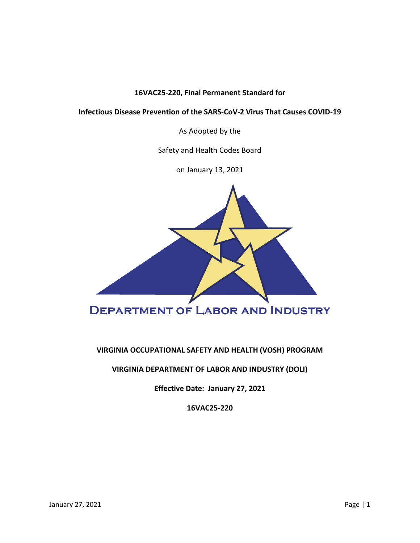# **16VAC25-220, Final Permanent Standard for**

# **Infectious Disease Prevention of the SARS-CoV-2 Virus That Causes COVID-19**

As Adopted by the

Safety and Health Codes Board

on January 13, 2021



# **VIRGINIA OCCUPATIONAL SAFETY AND HEALTH (VOSH) PROGRAM**

# **VIRGINIA DEPARTMENT OF LABOR AND INDUSTRY (DOLI)**

**Effective Date: January 27, 2021**

**16VAC25-220**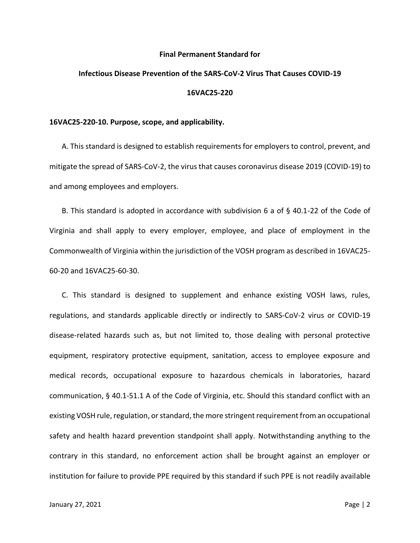#### **Final Permanent Standard for**

# **Infectious Disease Prevention of the SARS-CoV-2 Virus That Causes COVID-19 16VAC25-220**

## **16VAC25-220-10. Purpose, scope, and applicability.**

A. This standard is designed to establish requirements for employers to control, prevent, and mitigate the spread of SARS-CoV-2, the virus that causes coronavirus disease 2019 (COVID-19) to and among employees and employers.

B. This standard is adopted in accordance with subdivision 6 a of § 40.1-22 of the Code of Virginia and shall apply to every employer, employee, and place of employment in the Commonwealth of Virginia within the jurisdiction of the VOSH program as described in 16VAC25- 60-20 and 16VAC25-60-30.

C. This standard is designed to supplement and enhance existing VOSH laws, rules, regulations, and standards applicable directly or indirectly to SARS-CoV-2 virus or COVID-19 disease-related hazards such as, but not limited to, those dealing with personal protective equipment, respiratory protective equipment, sanitation, access to employee exposure and medical records, occupational exposure to hazardous chemicals in laboratories, hazard communication, § 40.1-51.1 A of the Code of Virginia, etc. Should this standard conflict with an existing VOSH rule, regulation, or standard, the more stringent requirement from an occupational safety and health hazard prevention standpoint shall apply. Notwithstanding anything to the contrary in this standard, no enforcement action shall be brought against an employer or institution for failure to provide PPE required by this standard if such PPE is not readily available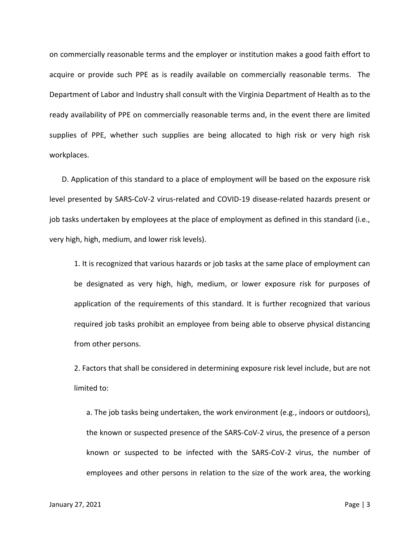on commercially reasonable terms and the employer or institution makes a good faith effort to acquire or provide such PPE as is readily available on commercially reasonable terms. The Department of Labor and Industry shall consult with the Virginia Department of Health as to the ready availability of PPE on commercially reasonable terms and, in the event there are limited supplies of PPE, whether such supplies are being allocated to high risk or very high risk workplaces.

D. Application of this standard to a place of employment will be based on the exposure risk level presented by SARS-CoV-2 virus-related and COVID-19 disease-related hazards present or job tasks undertaken by employees at the place of employment as defined in this standard (i.e., very high, high, medium, and lower risk levels).

1. It is recognized that various hazards or job tasks at the same place of employment can be designated as very high, high, medium, or lower exposure risk for purposes of application of the requirements of this standard. It is further recognized that various required job tasks prohibit an employee from being able to observe physical distancing from other persons.

2. Factors that shall be considered in determining exposure risk level include, but are not limited to:

a. The job tasks being undertaken, the work environment (e.g., indoors or outdoors), the known or suspected presence of the SARS-CoV-2 virus, the presence of a person known or suspected to be infected with the SARS-CoV-2 virus, the number of employees and other persons in relation to the size of the work area, the working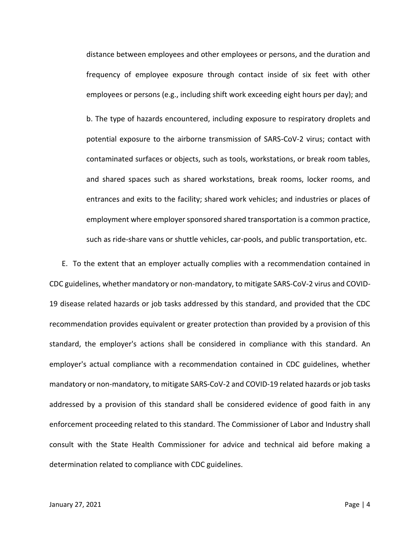distance between employees and other employees or persons, and the duration and frequency of employee exposure through contact inside of six feet with other employees or persons (e.g., including shift work exceeding eight hours per day); and b. The type of hazards encountered, including exposure to respiratory droplets and potential exposure to the airborne transmission of SARS-CoV-2 virus; contact with contaminated surfaces or objects, such as tools, workstations, or break room tables, and shared spaces such as shared workstations, break rooms, locker rooms, and entrances and exits to the facility; shared work vehicles; and industries or places of employment where employer sponsored shared transportation is a common practice, such as ride-share vans or shuttle vehicles, car-pools, and public transportation, etc.

E. To the extent that an employer actually complies with a recommendation contained in CDC guidelines, whether mandatory or non-mandatory, to mitigate SARS-CoV-2 virus and COVID-19 disease related hazards or job tasks addressed by this standard, and provided that the CDC recommendation provides equivalent or greater protection than provided by a provision of this standard, the employer's actions shall be considered in compliance with this standard. An employer's actual compliance with a recommendation contained in CDC guidelines, whether mandatory or non-mandatory, to mitigate SARS-CoV-2 and COVID-19 related hazards or job tasks addressed by a provision of this standard shall be considered evidence of good faith in any enforcement proceeding related to this standard. The Commissioner of Labor and Industry shall consult with the State Health Commissioner for advice and technical aid before making a determination related to compliance with CDC guidelines.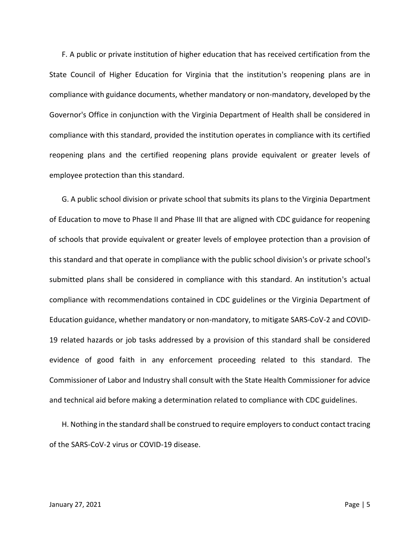F. A public or private institution of higher education that has received certification from the State Council of Higher Education for Virginia that the institution's reopening plans are in compliance with guidance documents, whether mandatory or non-mandatory, developed by the Governor's Office in conjunction with the Virginia Department of Health shall be considered in compliance with this standard, provided the institution operates in compliance with its certified reopening plans and the certified reopening plans provide equivalent or greater levels of employee protection than this standard.

G. A public school division or private school that submits its plans to the Virginia Department of Education to move to Phase II and Phase III that are aligned with CDC guidance for reopening of schools that provide equivalent or greater levels of employee protection than a provision of this standard and that operate in compliance with the public school division's or private school's submitted plans shall be considered in compliance with this standard. An institution's actual compliance with recommendations contained in CDC guidelines or the Virginia Department of Education guidance, whether mandatory or non-mandatory, to mitigate SARS-CoV-2 and COVID-19 related hazards or job tasks addressed by a provision of this standard shall be considered evidence of good faith in any enforcement proceeding related to this standard. The Commissioner of Labor and Industry shall consult with the State Health Commissioner for advice and technical aid before making a determination related to compliance with CDC guidelines.

H. Nothing in the standard shall be construed to require employers to conduct contact tracing of the SARS-CoV-2 virus or COVID-19 disease.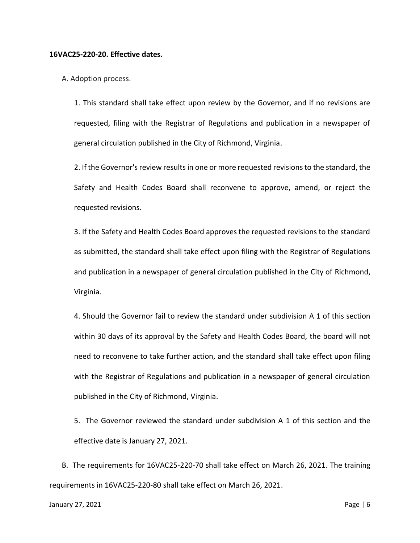## **16VAC25-220-20. Effective dates.**

A. Adoption process.

1. This standard shall take effect upon review by the Governor, and if no revisions are requested, filing with the Registrar of Regulations and publication in a newspaper of general circulation published in the City of Richmond, Virginia.

2. If the Governor's review results in one or more requested revisions to the standard, the Safety and Health Codes Board shall reconvene to approve, amend, or reject the requested revisions.

3. If the Safety and Health Codes Board approves the requested revisions to the standard as submitted, the standard shall take effect upon filing with the Registrar of Regulations and publication in a newspaper of general circulation published in the City of Richmond, Virginia.

4. Should the Governor fail to review the standard under subdivision A 1 of this section within 30 days of its approval by the Safety and Health Codes Board, the board will not need to reconvene to take further action, and the standard shall take effect upon filing with the Registrar of Regulations and publication in a newspaper of general circulation published in the City of Richmond, Virginia.

5. The Governor reviewed the standard under subdivision A 1 of this section and the effective date is January 27, 2021.

B. The requirements for 16VAC25-220-70 shall take effect on March 26, 2021. The training requirements in 16VAC25-220-80 shall take effect on March 26, 2021.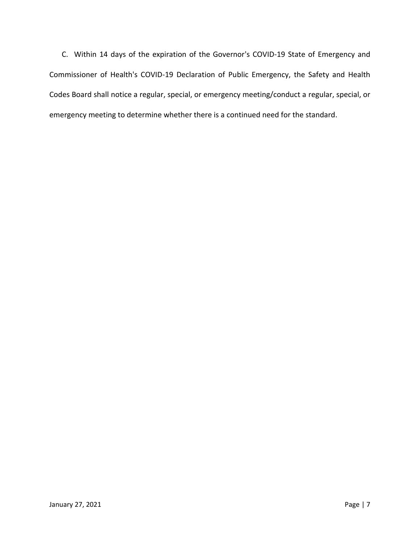C. Within 14 days of the expiration of the Governor's COVID-19 State of Emergency and Commissioner of Health's COVID-19 Declaration of Public Emergency, the Safety and Health Codes Board shall notice a regular, special, or emergency meeting/conduct a regular, special, or emergency meeting to determine whether there is a continued need for the standard.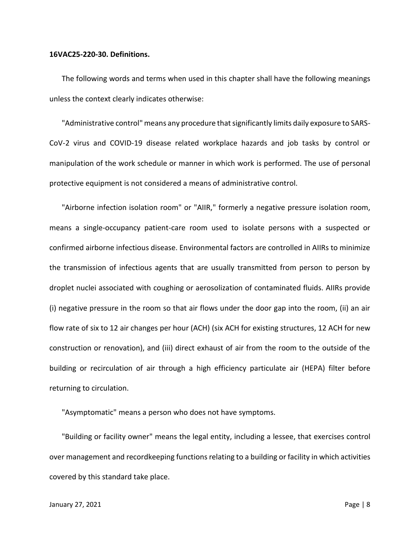## **16VAC25-220-30. Definitions.**

The following words and terms when used in this chapter shall have the following meanings unless the context clearly indicates otherwise:

"Administrative control" means any procedure that significantly limits daily exposure to SARS-CoV-2 virus and COVID-19 disease related workplace hazards and job tasks by control or manipulation of the work schedule or manner in which work is performed. The use of personal protective equipment is not considered a means of administrative control.

"Airborne infection isolation room" or "AIIR," formerly a negative pressure isolation room, means a single-occupancy patient-care room used to isolate persons with a suspected or confirmed airborne infectious disease. Environmental factors are controlled in AIIRs to minimize the transmission of infectious agents that are usually transmitted from person to person by droplet nuclei associated with coughing or aerosolization of contaminated fluids. AIIRs provide (i) negative pressure in the room so that air flows under the door gap into the room, (ii) an air flow rate of six to 12 air changes per hour (ACH) (six ACH for existing structures, 12 ACH for new construction or renovation), and (iii) direct exhaust of air from the room to the outside of the building or recirculation of air through a high efficiency particulate air (HEPA) filter before returning to circulation.

"Asymptomatic" means a person who does not have symptoms.

"Building or facility owner" means the legal entity, including a lessee, that exercises control over management and recordkeeping functions relating to a building or facility in which activities covered by this standard take place.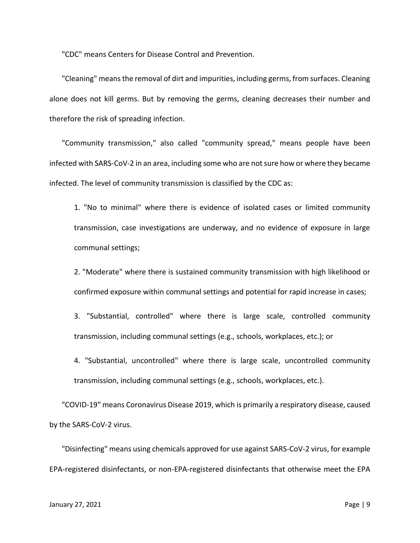"CDC" means Centers for Disease Control and Prevention.

"Cleaning" means the removal of dirt and impurities, including germs, from surfaces. Cleaning alone does not kill germs. But by removing the germs, cleaning decreases their number and therefore the risk of spreading infection.

"Community transmission," also called "community spread," means people have been infected with SARS-CoV-2 in an area, including some who are not sure how or where they became infected. The level of community transmission is classified by the CDC as:

1. "No to minimal" where there is evidence of isolated cases or limited community transmission, case investigations are underway, and no evidence of exposure in large communal settings;

2. "Moderate" where there is sustained community transmission with high likelihood or confirmed exposure within communal settings and potential for rapid increase in cases;

3. "Substantial, controlled" where there is large scale, controlled community transmission, including communal settings (e.g., schools, workplaces, etc.); or

4. "Substantial, uncontrolled" where there is large scale, uncontrolled community transmission, including communal settings (e.g., schools, workplaces, etc.).

"COVID-19" means Coronavirus Disease 2019, which is primarily a respiratory disease, caused by the SARS-CoV-2 virus.

"Disinfecting" means using chemicals approved for use against SARS-CoV-2 virus, for example EPA-registered disinfectants, or non-EPA-registered disinfectants that otherwise meet the EPA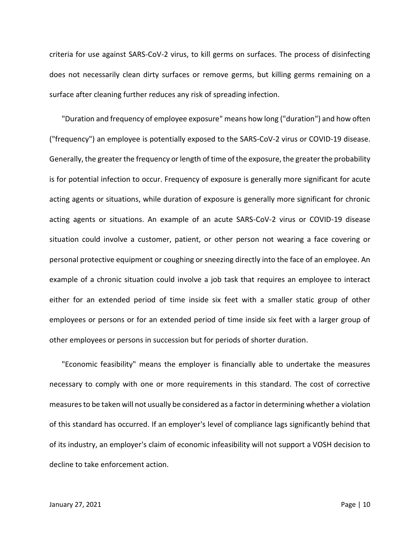criteria for use against SARS-CoV-2 virus, to kill germs on surfaces. The process of disinfecting does not necessarily clean dirty surfaces or remove germs, but killing germs remaining on a surface after cleaning further reduces any risk of spreading infection.

"Duration and frequency of employee exposure" means how long ("duration") and how often ("frequency") an employee is potentially exposed to the SARS-CoV-2 virus or COVID-19 disease. Generally, the greater the frequency or length of time of the exposure, the greater the probability is for potential infection to occur. Frequency of exposure is generally more significant for acute acting agents or situations, while duration of exposure is generally more significant for chronic acting agents or situations. An example of an acute SARS-CoV-2 virus or COVID-19 disease situation could involve a customer, patient, or other person not wearing a face covering or personal protective equipment or coughing or sneezing directly into the face of an employee. An example of a chronic situation could involve a job task that requires an employee to interact either for an extended period of time inside six feet with a smaller static group of other employees or persons or for an extended period of time inside six feet with a larger group of other employees or persons in succession but for periods of shorter duration.

"Economic feasibility" means the employer is financially able to undertake the measures necessary to comply with one or more requirements in this standard. The cost of corrective measures to be taken will not usually be considered as a factor in determining whether a violation of this standard has occurred. If an employer's level of compliance lags significantly behind that of its industry, an employer's claim of economic infeasibility will not support a VOSH decision to decline to take enforcement action.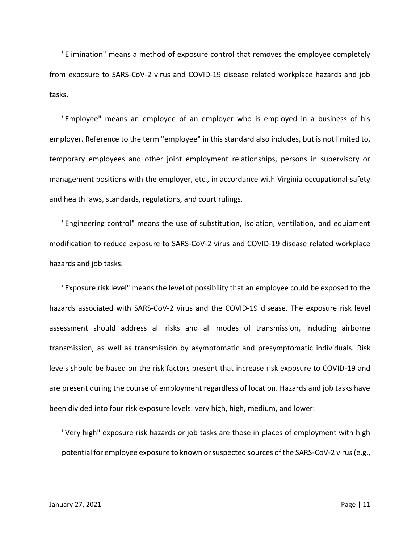"Elimination" means a method of exposure control that removes the employee completely from exposure to SARS-CoV-2 virus and COVID-19 disease related workplace hazards and job tasks.

"Employee" means an employee of an employer who is employed in a business of his employer. Reference to the term "employee" in this standard also includes, but is not limited to, temporary employees and other joint employment relationships, persons in supervisory or management positions with the employer, etc., in accordance with Virginia occupational safety and health laws, standards, regulations, and court rulings.

"Engineering control" means the use of substitution, isolation, ventilation, and equipment modification to reduce exposure to SARS-CoV-2 virus and COVID-19 disease related workplace hazards and job tasks.

"Exposure risk level" means the level of possibility that an employee could be exposed to the hazards associated with SARS-CoV-2 virus and the COVID-19 disease. The exposure risk level assessment should address all risks and all modes of transmission, including airborne transmission, as well as transmission by asymptomatic and presymptomatic individuals. Risk levels should be based on the risk factors present that increase risk exposure to COVID-19 and are present during the course of employment regardless of location. Hazards and job tasks have been divided into four risk exposure levels: very high, high, medium, and lower:

"Very high" exposure risk hazards or job tasks are those in places of employment with high potential for employee exposure to known or suspected sources of the SARS-CoV-2 virus (e.g.,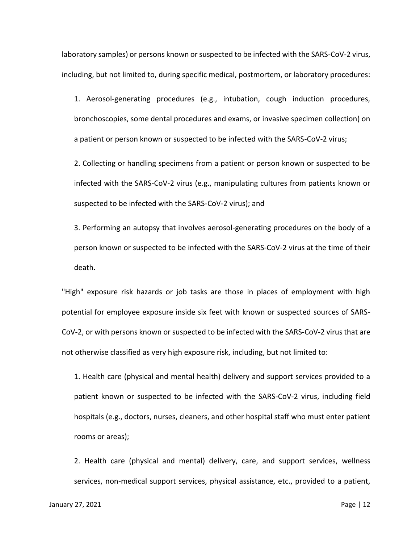laboratory samples) or persons known or suspected to be infected with the SARS-CoV-2 virus, including, but not limited to, during specific medical, postmortem, or laboratory procedures:

1. Aerosol-generating procedures (e.g., intubation, cough induction procedures, bronchoscopies, some dental procedures and exams, or invasive specimen collection) on a patient or person known or suspected to be infected with the SARS-CoV-2 virus;

2. Collecting or handling specimens from a patient or person known or suspected to be infected with the SARS-CoV-2 virus (e.g., manipulating cultures from patients known or suspected to be infected with the SARS-CoV-2 virus); and

3. Performing an autopsy that involves aerosol-generating procedures on the body of a person known or suspected to be infected with the SARS-CoV-2 virus at the time of their death.

"High" exposure risk hazards or job tasks are those in places of employment with high potential for employee exposure inside six feet with known or suspected sources of SARS-CoV-2, or with persons known or suspected to be infected with the SARS-CoV-2 virus that are not otherwise classified as very high exposure risk, including, but not limited to:

1. Health care (physical and mental health) delivery and support services provided to a patient known or suspected to be infected with the SARS-CoV-2 virus, including field hospitals (e.g., doctors, nurses, cleaners, and other hospital staff who must enter patient rooms or areas);

2. Health care (physical and mental) delivery, care, and support services, wellness services, non-medical support services, physical assistance, etc., provided to a patient,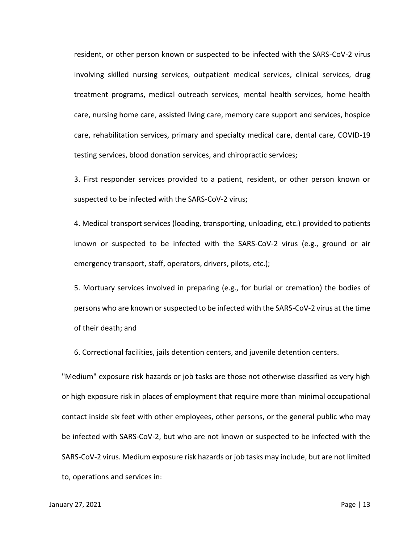resident, or other person known or suspected to be infected with the SARS-CoV-2 virus involving skilled nursing services, outpatient medical services, clinical services, drug treatment programs, medical outreach services, mental health services, home health care, nursing home care, assisted living care, memory care support and services, hospice care, rehabilitation services, primary and specialty medical care, dental care, COVID-19 testing services, blood donation services, and chiropractic services;

3. First responder services provided to a patient, resident, or other person known or suspected to be infected with the SARS-CoV-2 virus;

4. Medical transport services (loading, transporting, unloading, etc.) provided to patients known or suspected to be infected with the SARS-CoV-2 virus (e.g., ground or air emergency transport, staff, operators, drivers, pilots, etc.);

5. Mortuary services involved in preparing (e.g., for burial or cremation) the bodies of persons who are known or suspected to be infected with the SARS-CoV-2 virus at the time of their death; and

6. Correctional facilities, jails detention centers, and juvenile detention centers.

"Medium" exposure risk hazards or job tasks are those not otherwise classified as very high or high exposure risk in places of employment that require more than minimal occupational contact inside six feet with other employees, other persons, or the general public who may be infected with SARS-CoV-2, but who are not known or suspected to be infected with the SARS-CoV-2 virus. Medium exposure risk hazards or job tasks may include, but are not limited to, operations and services in: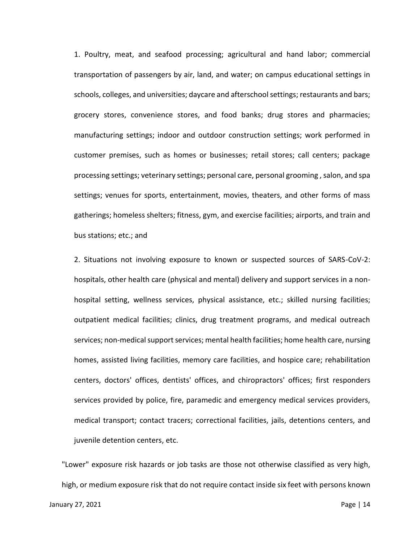1. Poultry, meat, and seafood processing; agricultural and hand labor; commercial transportation of passengers by air, land, and water; on campus educational settings in schools, colleges, and universities; daycare and afterschool settings; restaurants and bars; grocery stores, convenience stores, and food banks; drug stores and pharmacies; manufacturing settings; indoor and outdoor construction settings; work performed in customer premises, such as homes or businesses; retail stores; call centers; package processing settings; veterinary settings; personal care, personal grooming , salon, and spa settings; venues for sports, entertainment, movies, theaters, and other forms of mass gatherings; homeless shelters; fitness, gym, and exercise facilities; airports, and train and bus stations; etc.; and

2. Situations not involving exposure to known or suspected sources of SARS-CoV-2: hospitals, other health care (physical and mental) delivery and support services in a nonhospital setting, wellness services, physical assistance, etc.; skilled nursing facilities; outpatient medical facilities; clinics, drug treatment programs, and medical outreach services; non-medical support services; mental health facilities; home health care, nursing homes, assisted living facilities, memory care facilities, and hospice care; rehabilitation centers, doctors' offices, dentists' offices, and chiropractors' offices; first responders services provided by police, fire, paramedic and emergency medical services providers, medical transport; contact tracers; correctional facilities, jails, detentions centers, and juvenile detention centers, etc.

"Lower" exposure risk hazards or job tasks are those not otherwise classified as very high, high, or medium exposure risk that do not require contact inside six feet with persons known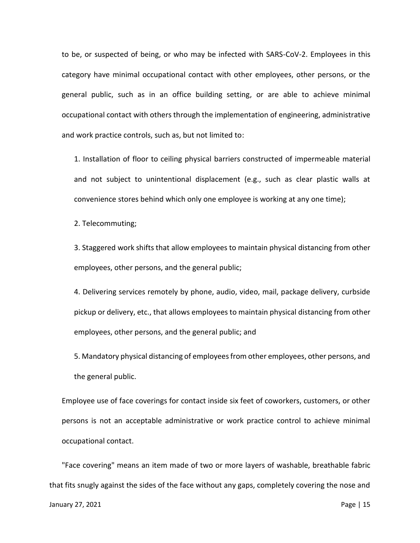to be, or suspected of being, or who may be infected with SARS-CoV-2. Employees in this category have minimal occupational contact with other employees, other persons, or the general public, such as in an office building setting, or are able to achieve minimal occupational contact with others through the implementation of engineering, administrative and work practice controls, such as, but not limited to:

1. Installation of floor to ceiling physical barriers constructed of impermeable material and not subject to unintentional displacement (e.g., such as clear plastic walls at convenience stores behind which only one employee is working at any one time);

2. Telecommuting;

3. Staggered work shifts that allow employees to maintain physical distancing from other employees, other persons, and the general public;

4. Delivering services remotely by phone, audio, video, mail, package delivery, curbside pickup or delivery, etc., that allows employees to maintain physical distancing from other employees, other persons, and the general public; and

5. Mandatory physical distancing of employees from other employees, other persons, and the general public.

Employee use of face coverings for contact inside six feet of coworkers, customers, or other persons is not an acceptable administrative or work practice control to achieve minimal occupational contact.

"Face covering" means an item made of two or more layers of washable, breathable fabric that fits snugly against the sides of the face without any gaps, completely covering the nose and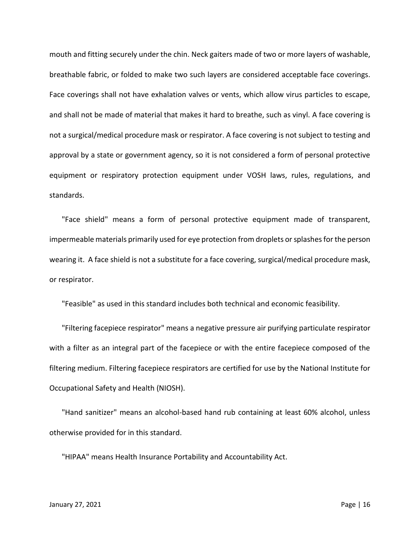mouth and fitting securely under the chin. Neck gaiters made of two or more layers of washable, breathable fabric, or folded to make two such layers are considered acceptable face coverings. Face coverings shall not have exhalation valves or vents, which allow virus particles to escape, and shall not be made of material that makes it hard to breathe, such as vinyl. A face covering is not a surgical/medical procedure mask or respirator. A face covering is not subject to testing and approval by a state or government agency, so it is not considered a form of personal protective equipment or respiratory protection equipment under VOSH laws, rules, regulations, and standards.

"Face shield" means a form of personal protective equipment made of transparent, impermeable materials primarily used for eye protection from droplets or splashes for the person wearing it. A face shield is not a substitute for a face covering, surgical/medical procedure mask, or respirator.

"Feasible" as used in this standard includes both technical and economic feasibility.

"Filtering facepiece respirator" means a negative pressure air purifying particulate respirator with a filter as an integral part of the facepiece or with the entire facepiece composed of the filtering medium. Filtering facepiece respirators are certified for use by the National Institute for Occupational Safety and Health (NIOSH).

"Hand sanitizer" means an alcohol-based hand rub containing at least 60% alcohol, unless otherwise provided for in this standard.

"HIPAA" means Health Insurance Portability and Accountability Act.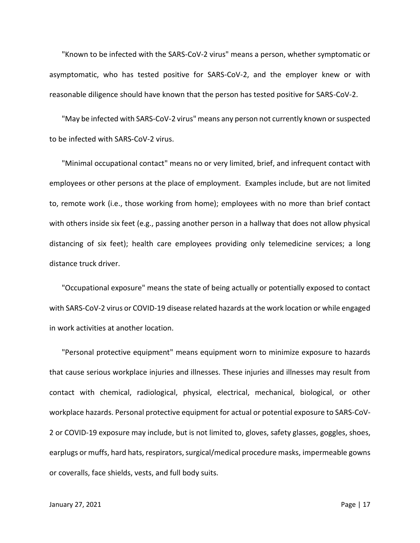"Known to be infected with the SARS-CoV-2 virus" means a person, whether symptomatic or asymptomatic, who has tested positive for SARS-CoV-2, and the employer knew or with reasonable diligence should have known that the person has tested positive for SARS-CoV-2.

"May be infected with SARS-CoV-2 virus" means any person not currently known or suspected to be infected with SARS-CoV-2 virus.

"Minimal occupational contact" means no or very limited, brief, and infrequent contact with employees or other persons at the place of employment. Examples include, but are not limited to, remote work (i.e., those working from home); employees with no more than brief contact with others inside six feet (e.g., passing another person in a hallway that does not allow physical distancing of six feet); health care employees providing only telemedicine services; a long distance truck driver.

"Occupational exposure" means the state of being actually or potentially exposed to contact with SARS-CoV-2 virus or COVID-19 disease related hazards at the work location or while engaged in work activities at another location.

"Personal protective equipment" means equipment worn to minimize exposure to hazards that cause serious workplace injuries and illnesses. These injuries and illnesses may result from contact with chemical, radiological, physical, electrical, mechanical, biological, or other workplace hazards. Personal protective equipment for actual or potential exposure to SARS-CoV-2 or COVID-19 exposure may include, but is not limited to, gloves, safety glasses, goggles, shoes, earplugs or muffs, hard hats, respirators, surgical/medical procedure masks, impermeable gowns or coveralls, face shields, vests, and full body suits.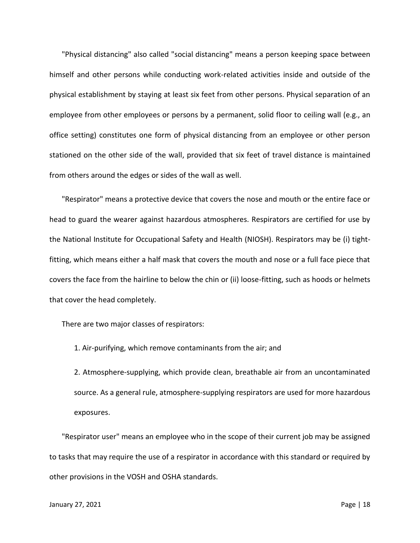"Physical distancing" also called "social distancing" means a person keeping space between himself and other persons while conducting work-related activities inside and outside of the physical establishment by staying at least six feet from other persons. Physical separation of an employee from other employees or persons by a permanent, solid floor to ceiling wall (e.g., an office setting) constitutes one form of physical distancing from an employee or other person stationed on the other side of the wall, provided that six feet of travel distance is maintained from others around the edges or sides of the wall as well.

"Respirator" means a protective device that covers the nose and mouth or the entire face or head to guard the wearer against hazardous atmospheres. Respirators are certified for use by the National Institute for Occupational Safety and Health (NIOSH). Respirators may be (i) tightfitting, which means either a half mask that covers the mouth and nose or a full face piece that covers the face from the hairline to below the chin or (ii) loose-fitting, such as hoods or helmets that cover the head completely.

There are two major classes of respirators:

1. Air-purifying, which remove contaminants from the air; and

2. Atmosphere-supplying, which provide clean, breathable air from an uncontaminated source. As a general rule, atmosphere-supplying respirators are used for more hazardous exposures.

"Respirator user" means an employee who in the scope of their current job may be assigned to tasks that may require the use of a respirator in accordance with this standard or required by other provisions in the VOSH and OSHA standards.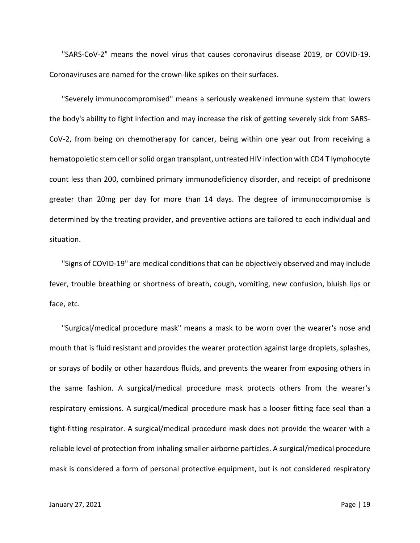"SARS-CoV-2" means the novel virus that causes coronavirus disease 2019, or COVID-19. Coronaviruses are named for the crown-like spikes on their surfaces.

"Severely immunocompromised" means a seriously weakened immune system that lowers the body's ability to fight infection and may increase the risk of getting severely sick from SARS-CoV-2, from being on chemotherapy for cancer, being within one year out from receiving a hematopoietic stem cell or solid organ transplant, untreated HIV infection with CD4 T lymphocyte count less than 200, combined primary immunodeficiency disorder, and receipt of prednisone greater than 20mg per day for more than 14 days. The degree of immunocompromise is determined by the treating provider, and preventive actions are tailored to each individual and situation.

"Signs of COVID-19" are medical conditions that can be objectively observed and may include fever, trouble breathing or shortness of breath, cough, vomiting, new confusion, bluish lips or face, etc.

"Surgical/medical procedure mask" means a mask to be worn over the wearer's nose and mouth that is fluid resistant and provides the wearer protection against large droplets, splashes, or sprays of bodily or other hazardous fluids, and prevents the wearer from exposing others in the same fashion. A surgical/medical procedure mask protects others from the wearer's respiratory emissions. A surgical/medical procedure mask has a looser fitting face seal than a tight-fitting respirator. A surgical/medical procedure mask does not provide the wearer with a reliable level of protection from inhaling smaller airborne particles. A surgical/medical procedure mask is considered a form of personal protective equipment, but is not considered respiratory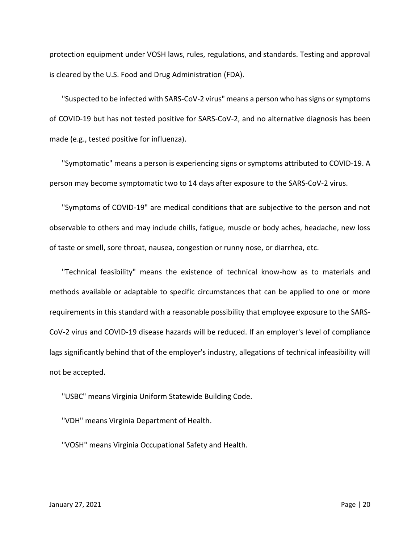protection equipment under VOSH laws, rules, regulations, and standards. Testing and approval is cleared by the U.S. Food and Drug Administration (FDA).

"Suspected to be infected with SARS-CoV-2 virus" means a person who has signs or symptoms of COVID-19 but has not tested positive for SARS-CoV-2, and no alternative diagnosis has been made (e.g., tested positive for influenza).

"Symptomatic" means a person is experiencing signs or symptoms attributed to COVID-19. A person may become symptomatic two to 14 days after exposure to the SARS-CoV-2 virus.

"Symptoms of COVID-19" are medical conditions that are subjective to the person and not observable to others and may include chills, fatigue, muscle or body aches, headache, new loss of taste or smell, sore throat, nausea, congestion or runny nose, or diarrhea, etc.

"Technical feasibility" means the existence of technical know-how as to materials and methods available or adaptable to specific circumstances that can be applied to one or more requirements in this standard with a reasonable possibility that employee exposure to the SARS-CoV-2 virus and COVID-19 disease hazards will be reduced. If an employer's level of compliance lags significantly behind that of the employer's industry, allegations of technical infeasibility will not be accepted.

"USBC" means Virginia Uniform Statewide Building Code.

"VDH" means Virginia Department of Health.

"VOSH" means Virginia Occupational Safety and Health.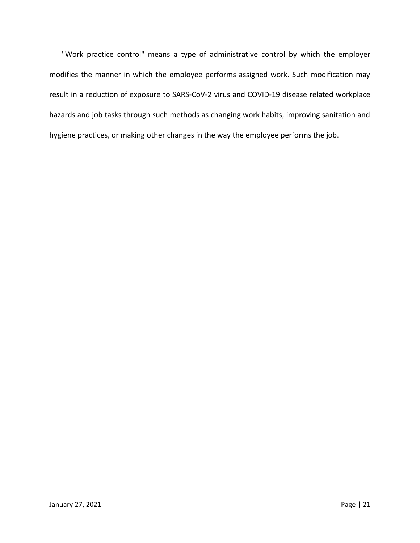"Work practice control" means a type of administrative control by which the employer modifies the manner in which the employee performs assigned work. Such modification may result in a reduction of exposure to SARS-CoV-2 virus and COVID-19 disease related workplace hazards and job tasks through such methods as changing work habits, improving sanitation and hygiene practices, or making other changes in the way the employee performs the job.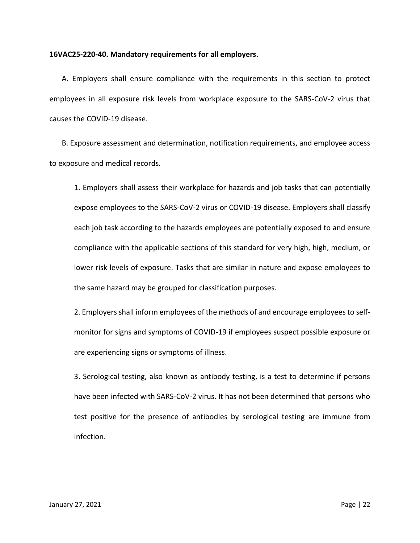#### **16VAC25-220-40. Mandatory requirements for all employers.**

A. Employers shall ensure compliance with the requirements in this section to protect employees in all exposure risk levels from workplace exposure to the SARS-CoV-2 virus that causes the COVID-19 disease.

B. Exposure assessment and determination, notification requirements, and employee access to exposure and medical records.

1. Employers shall assess their workplace for hazards and job tasks that can potentially expose employees to the SARS-CoV-2 virus or COVID-19 disease. Employers shall classify each job task according to the hazards employees are potentially exposed to and ensure compliance with the applicable sections of this standard for very high, high, medium, or lower risk levels of exposure. Tasks that are similar in nature and expose employees to the same hazard may be grouped for classification purposes.

2. Employers shall inform employees of the methods of and encourage employees to selfmonitor for signs and symptoms of COVID-19 if employees suspect possible exposure or are experiencing signs or symptoms of illness.

3. Serological testing, also known as antibody testing, is a test to determine if persons have been infected with SARS-CoV-2 virus. It has not been determined that persons who test positive for the presence of antibodies by serological testing are immune from infection.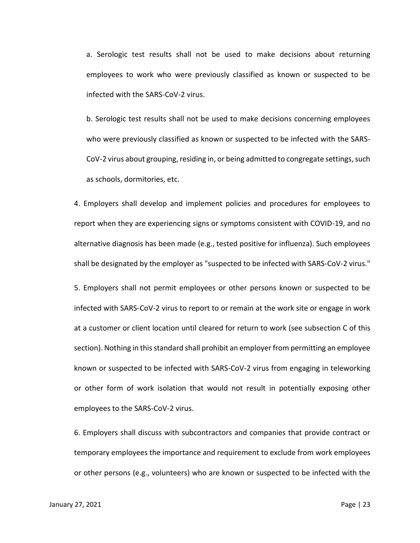a. Serologic test results shall not be used to make decisions about returning employees to work who were previously classified as known or suspected to be infected with the SARS-CoV-2 virus.

b. Serologic test results shall not be used to make decisions concerning employees who were previously classified as known or suspected to be infected with the SARS-CoV-2 virus about grouping, residing in, or being admitted to congregate settings, such as schools, dormitories, etc.

4. Employers shall develop and implement policies and procedures for employees to report when they are experiencing signs or symptoms consistent with COVID-19, and no alternative diagnosis has been made (e.g., tested positive for influenza). Such employees shall be designated by the employer as "suspected to be infected with SARS-CoV-2 virus."

5. Employers shall not permit employees or other persons known or suspected to be infected with SARS-CoV-2 virus to report to or remain at the work site or engage in work at a customer or client location until cleared for return to work (see subsection C of this section). Nothing in this standard shall prohibit an employer from permitting an employee known or suspected to be infected with SARS-CoV-2 virus from engaging in teleworking or other form of work isolation that would not result in potentially exposing other employees to the SARS-CoV-2 virus.

6. Employers shall discuss with subcontractors and companies that provide contract or temporary employees the importance and requirement to exclude from work employees or other persons (e.g., volunteers) who are known or suspected to be infected with the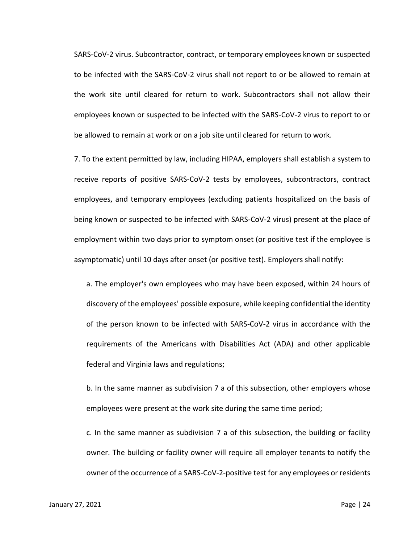SARS-CoV-2 virus. Subcontractor, contract, or temporary employees known or suspected to be infected with the SARS-CoV-2 virus shall not report to or be allowed to remain at the work site until cleared for return to work. Subcontractors shall not allow their employees known or suspected to be infected with the SARS-CoV-2 virus to report to or be allowed to remain at work or on a job site until cleared for return to work.

7. To the extent permitted by law, including HIPAA, employers shall establish a system to receive reports of positive SARS-CoV-2 tests by employees, subcontractors, contract employees, and temporary employees (excluding patients hospitalized on the basis of being known or suspected to be infected with SARS-CoV-2 virus) present at the place of employment within two days prior to symptom onset (or positive test if the employee is asymptomatic) until 10 days after onset (or positive test). Employers shall notify:

a. The employer's own employees who may have been exposed, within 24 hours of discovery of the employees' possible exposure, while keeping confidential the identity of the person known to be infected with SARS-CoV-2 virus in accordance with the requirements of the Americans with Disabilities Act (ADA) and other applicable federal and Virginia laws and regulations;

b. In the same manner as subdivision 7 a of this subsection, other employers whose employees were present at the work site during the same time period;

c. In the same manner as subdivision 7 a of this subsection, the building or facility owner. The building or facility owner will require all employer tenants to notify the owner of the occurrence of a SARS-CoV-2-positive test for any employees or residents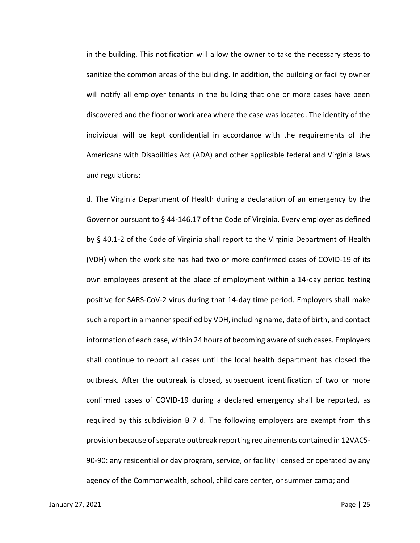in the building. This notification will allow the owner to take the necessary steps to sanitize the common areas of the building. In addition, the building or facility owner will notify all employer tenants in the building that one or more cases have been discovered and the floor or work area where the case was located. The identity of the individual will be kept confidential in accordance with the requirements of the Americans with Disabilities Act (ADA) and other applicable federal and Virginia laws and regulations;

d. The Virginia Department of Health during a declaration of an emergency by the Governor pursuant to § 44-146.17 of the Code of Virginia. Every employer as defined by § 40.1-2 of the Code of Virginia shall report to the Virginia Department of Health (VDH) when the work site has had two or more confirmed cases of COVID-19 of its own employees present at the place of employment within a 14-day period testing positive for SARS-CoV-2 virus during that 14-day time period. Employers shall make such a report in a manner specified by VDH, including name, date of birth, and contact information of each case, within 24 hours of becoming aware of such cases. Employers shall continue to report all cases until the local health department has closed the outbreak. After the outbreak is closed, subsequent identification of two or more confirmed cases of COVID-19 during a declared emergency shall be reported, as required by this subdivision B 7 d. The following employers are exempt from this provision because of separate outbreak reporting requirements contained in 12VAC5- 90-90: any residential or day program, service, or facility licensed or operated by any agency of the Commonwealth, school, child care center, or summer camp; and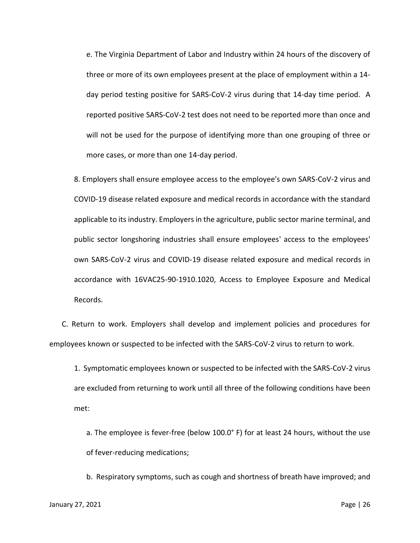e. The Virginia Department of Labor and Industry within 24 hours of the discovery of three or more of its own employees present at the place of employment within a 14 day period testing positive for SARS-CoV-2 virus during that 14-day time period. A reported positive SARS-CoV-2 test does not need to be reported more than once and will not be used for the purpose of identifying more than one grouping of three or more cases, or more than one 14-day period.

8. Employers shall ensure employee access to the employee's own SARS-CoV-2 virus and COVID-19 disease related exposure and medical records in accordance with the standard applicable to its industry. Employers in the agriculture, public sector marine terminal, and public sector longshoring industries shall ensure employees' access to the employees' own SARS-CoV-2 virus and COVID-19 disease related exposure and medical records in accordance with 16VAC25-90-1910.1020, Access to Employee Exposure and Medical Records.

C. Return to work. Employers shall develop and implement policies and procedures for employees known or suspected to be infected with the SARS-CoV-2 virus to return to work.

1. Symptomatic employees known or suspected to be infected with the SARS-CoV-2 virus are excluded from returning to work until all three of the following conditions have been met:

a. The employee is fever-free (below 100.0° F) for at least 24 hours, without the use of fever-reducing medications;

b. Respiratory symptoms, such as cough and shortness of breath have improved; and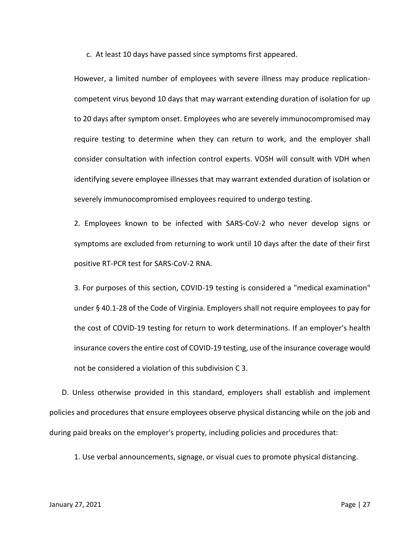c. At least 10 days have passed since symptoms first appeared.

However, a limited number of employees with severe illness may produce replicationcompetent virus beyond 10 days that may warrant extending duration of isolation for up to 20 days after symptom onset. Employees who are severely immunocompromised may require testing to determine when they can return to work, and the employer shall consider consultation with infection control experts. VOSH will consult with VDH when identifying severe employee illnesses that may warrant extended duration of isolation or severely immunocompromised employees required to undergo testing.

2. Employees known to be infected with SARS-CoV-2 who never develop signs or symptoms are excluded from returning to work until 10 days after the date of their first positive RT-PCR test for SARS-CoV-2 RNA.

3. For purposes of this section, COVID-19 testing is considered a "medical examination" under § 40.1-28 of the Code of Virginia. Employers shall not require employees to pay for the cost of COVID-19 testing for return to work determinations. If an employer's health insurance covers the entire cost of COVID-19 testing, use of the insurance coverage would not be considered a violation of this subdivision C 3.

D. Unless otherwise provided in this standard, employers shall establish and implement policies and procedures that ensure employees observe physical distancing while on the job and during paid breaks on the employer's property, including policies and procedures that:

1. Use verbal announcements, signage, or visual cues to promote physical distancing.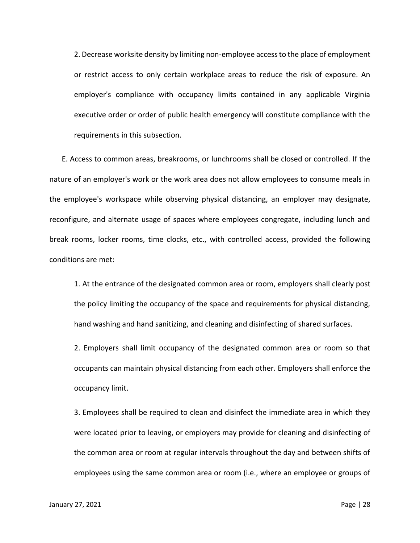2. Decrease worksite density by limiting non-employee access to the place of employment or restrict access to only certain workplace areas to reduce the risk of exposure. An employer's compliance with occupancy limits contained in any applicable Virginia executive order or order of public health emergency will constitute compliance with the requirements in this subsection.

E. Access to common areas, breakrooms, or lunchrooms shall be closed or controlled. If the nature of an employer's work or the work area does not allow employees to consume meals in the employee's workspace while observing physical distancing, an employer may designate, reconfigure, and alternate usage of spaces where employees congregate, including lunch and break rooms, locker rooms, time clocks, etc., with controlled access, provided the following conditions are met:

1. At the entrance of the designated common area or room, employers shall clearly post the policy limiting the occupancy of the space and requirements for physical distancing, hand washing and hand sanitizing, and cleaning and disinfecting of shared surfaces.

2. Employers shall limit occupancy of the designated common area or room so that occupants can maintain physical distancing from each other. Employers shall enforce the occupancy limit.

3. Employees shall be required to clean and disinfect the immediate area in which they were located prior to leaving, or employers may provide for cleaning and disinfecting of the common area or room at regular intervals throughout the day and between shifts of employees using the same common area or room (i.e., where an employee or groups of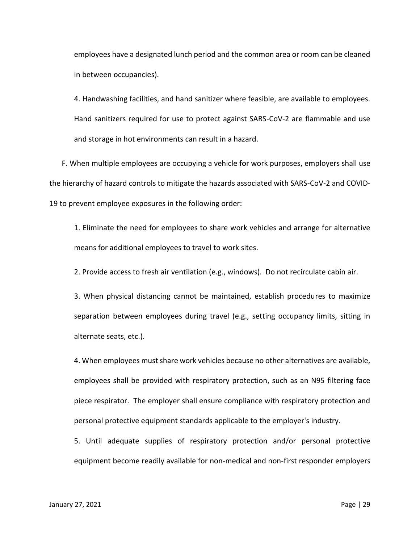employees have a designated lunch period and the common area or room can be cleaned in between occupancies).

4. Handwashing facilities, and hand sanitizer where feasible, are available to employees. Hand sanitizers required for use to protect against SARS-CoV-2 are flammable and use and storage in hot environments can result in a hazard.

F. When multiple employees are occupying a vehicle for work purposes, employers shall use the hierarchy of hazard controls to mitigate the hazards associated with SARS-CoV-2 and COVID-19 to prevent employee exposures in the following order:

1. Eliminate the need for employees to share work vehicles and arrange for alternative means for additional employees to travel to work sites.

2. Provide access to fresh air ventilation (e.g., windows). Do not recirculate cabin air.

3. When physical distancing cannot be maintained, establish procedures to maximize separation between employees during travel (e.g., setting occupancy limits, sitting in alternate seats, etc.).

4. When employees must share work vehicles because no other alternatives are available, employees shall be provided with respiratory protection, such as an N95 filtering face piece respirator. The employer shall ensure compliance with respiratory protection and personal protective equipment standards applicable to the employer's industry.

5. Until adequate supplies of respiratory protection and/or personal protective equipment become readily available for non-medical and non-first responder employers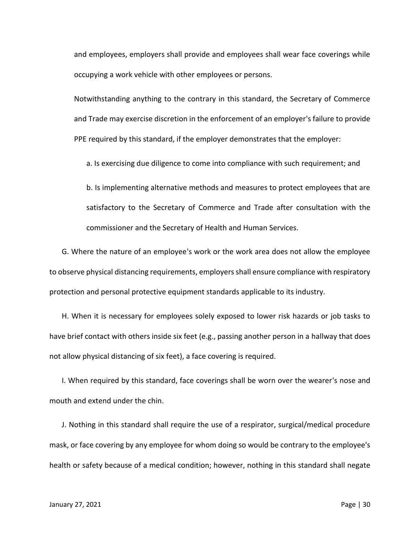and employees, employers shall provide and employees shall wear face coverings while occupying a work vehicle with other employees or persons.

Notwithstanding anything to the contrary in this standard, the Secretary of Commerce and Trade may exercise discretion in the enforcement of an employer's failure to provide PPE required by this standard, if the employer demonstrates that the employer:

a. Is exercising due diligence to come into compliance with such requirement; and

b. Is implementing alternative methods and measures to protect employees that are satisfactory to the Secretary of Commerce and Trade after consultation with the commissioner and the Secretary of Health and Human Services.

G. Where the nature of an employee's work or the work area does not allow the employee to observe physical distancing requirements, employers shall ensure compliance with respiratory protection and personal protective equipment standards applicable to its industry.

H. When it is necessary for employees solely exposed to lower risk hazards or job tasks to have brief contact with others inside six feet (e.g., passing another person in a hallway that does not allow physical distancing of six feet), a face covering is required.

I. When required by this standard, face coverings shall be worn over the wearer's nose and mouth and extend under the chin.

J. Nothing in this standard shall require the use of a respirator, surgical/medical procedure mask, or face covering by any employee for whom doing so would be contrary to the employee's health or safety because of a medical condition; however, nothing in this standard shall negate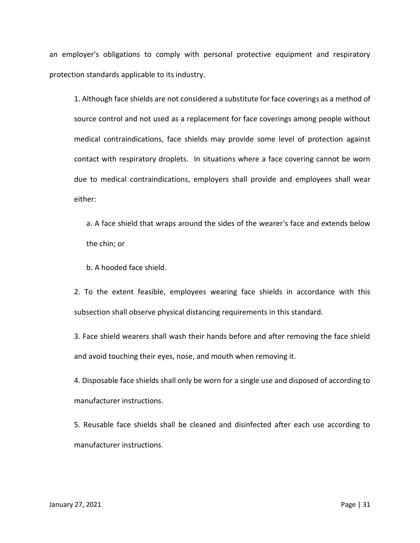an employer's obligations to comply with personal protective equipment and respiratory protection standards applicable to its industry.

1. Although face shields are not considered a substitute for face coverings as a method of source control and not used as a replacement for face coverings among people without medical contraindications, face shields may provide some level of protection against contact with respiratory droplets. In situations where a face covering cannot be worn due to medical contraindications, employers shall provide and employees shall wear either:

a. A face shield that wraps around the sides of the wearer's face and extends below the chin; or

b. A hooded face shield.

2. To the extent feasible, employees wearing face shields in accordance with this subsection shall observe physical distancing requirements in this standard.

3. Face shield wearers shall wash their hands before and after removing the face shield and avoid touching their eyes, nose, and mouth when removing it.

4. Disposable face shields shall only be worn for a single use and disposed of according to manufacturer instructions.

5. Reusable face shields shall be cleaned and disinfected after each use according to manufacturer instructions.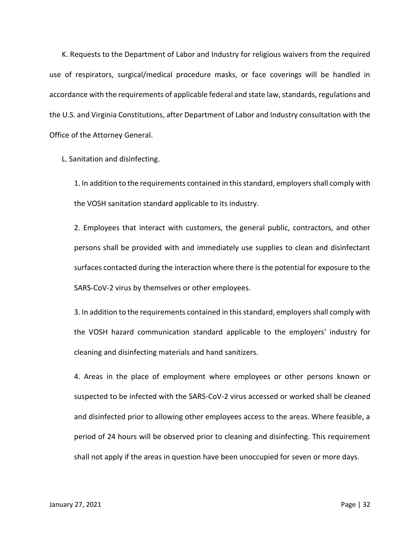K. Requests to the Department of Labor and Industry for religious waivers from the required use of respirators, surgical/medical procedure masks, or face coverings will be handled in accordance with the requirements of applicable federal and state law, standards, regulations and the U.S. and Virginia Constitutions, after Department of Labor and Industry consultation with the Office of the Attorney General.

L. Sanitation and disinfecting.

1. In addition to the requirements contained in this standard, employers shall comply with the VOSH sanitation standard applicable to its industry.

2. Employees that interact with customers, the general public, contractors, and other persons shall be provided with and immediately use supplies to clean and disinfectant surfaces contacted during the interaction where there is the potential for exposure to the SARS-CoV-2 virus by themselves or other employees.

3. In addition to the requirements contained in this standard, employers shall comply with the VOSH hazard communication standard applicable to the employers' industry for cleaning and disinfecting materials and hand sanitizers.

4. Areas in the place of employment where employees or other persons known or suspected to be infected with the SARS-CoV-2 virus accessed or worked shall be cleaned and disinfected prior to allowing other employees access to the areas. Where feasible, a period of 24 hours will be observed prior to cleaning and disinfecting. This requirement shall not apply if the areas in question have been unoccupied for seven or more days.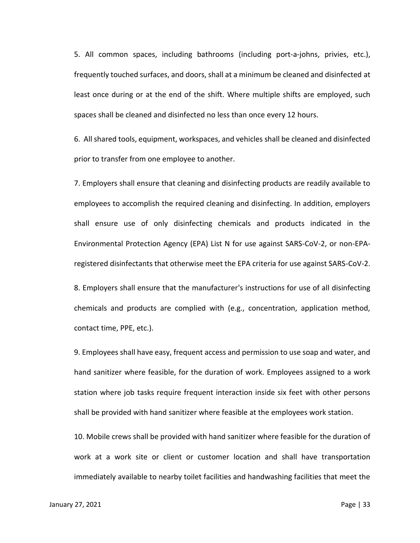5. All common spaces, including bathrooms (including port-a-johns, privies, etc.), frequently touched surfaces, and doors, shall at a minimum be cleaned and disinfected at least once during or at the end of the shift. Where multiple shifts are employed, such spaces shall be cleaned and disinfected no less than once every 12 hours.

6. All shared tools, equipment, workspaces, and vehicles shall be cleaned and disinfected prior to transfer from one employee to another.

7. Employers shall ensure that cleaning and disinfecting products are readily available to employees to accomplish the required cleaning and disinfecting. In addition, employers shall ensure use of only disinfecting chemicals and products indicated in the Environmental Protection Agency (EPA) List N for use against SARS-CoV-2, or non-EPAregistered disinfectants that otherwise meet the EPA criteria for use against SARS-CoV-2.

8. Employers shall ensure that the manufacturer's instructions for use of all disinfecting chemicals and products are complied with (e.g., concentration, application method, contact time, PPE, etc.).

9. Employees shall have easy, frequent access and permission to use soap and water, and hand sanitizer where feasible, for the duration of work. Employees assigned to a work station where job tasks require frequent interaction inside six feet with other persons shall be provided with hand sanitizer where feasible at the employees work station.

10. Mobile crews shall be provided with hand sanitizer where feasible for the duration of work at a work site or client or customer location and shall have transportation immediately available to nearby toilet facilities and handwashing facilities that meet the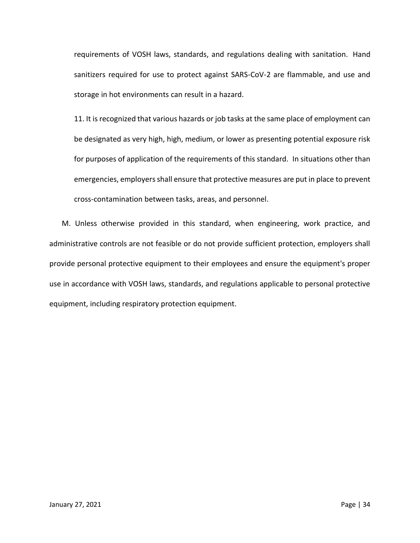requirements of VOSH laws, standards, and regulations dealing with sanitation. Hand sanitizers required for use to protect against SARS-CoV-2 are flammable, and use and storage in hot environments can result in a hazard.

11. It is recognized that various hazards or job tasks at the same place of employment can be designated as very high, high, medium, or lower as presenting potential exposure risk for purposes of application of the requirements of this standard. In situations other than emergencies, employers shall ensure that protective measures are put in place to prevent cross-contamination between tasks, areas, and personnel.

M. Unless otherwise provided in this standard, when engineering, work practice, and administrative controls are not feasible or do not provide sufficient protection, employers shall provide personal protective equipment to their employees and ensure the equipment's proper use in accordance with VOSH laws, standards, and regulations applicable to personal protective equipment, including respiratory protection equipment.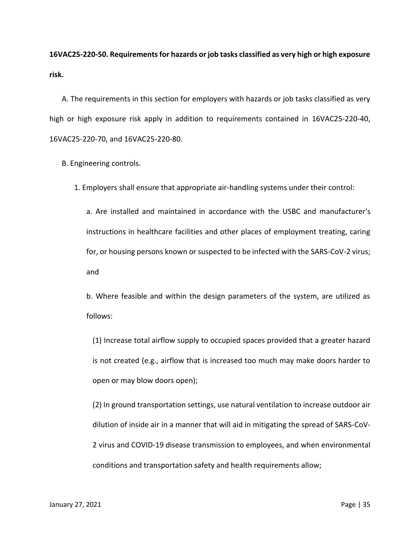**16VAC25-220-50. Requirements for hazards or job tasks classified as very high or high exposure risk.**

A. The requirements in this section for employers with hazards or job tasks classified as very high or high exposure risk apply in addition to requirements contained in 16VAC25-220-40, 16VAC25-220-70, and 16VAC25-220-80.

B. Engineering controls.

1. Employers shall ensure that appropriate air-handling systems under their control:

a. Are installed and maintained in accordance with the USBC and manufacturer's instructions in healthcare facilities and other places of employment treating, caring for, or housing persons known or suspected to be infected with the SARS-CoV-2 virus; and

b. Where feasible and within the design parameters of the system, are utilized as follows:

(1) Increase total airflow supply to occupied spaces provided that a greater hazard is not created (e.g., airflow that is increased too much may make doors harder to open or may blow doors open);

(2) In ground transportation settings, use natural ventilation to increase outdoor air dilution of inside air in a manner that will aid in mitigating the spread of SARS-CoV-2 virus and COVID-19 disease transmission to employees, and when environmental conditions and transportation safety and health requirements allow;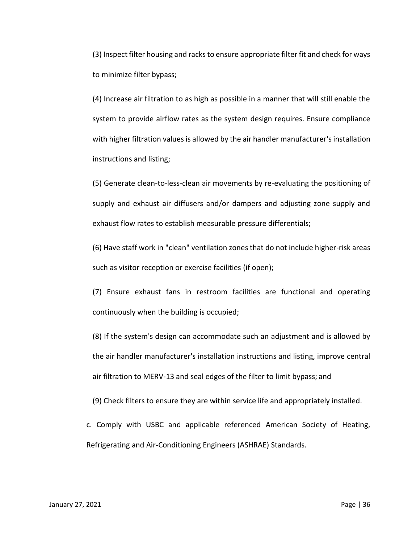(3) Inspect filter housing and racks to ensure appropriate filter fit and check for ways to minimize filter bypass;

(4) Increase air filtration to as high as possible in a manner that will still enable the system to provide airflow rates as the system design requires. Ensure compliance with higher filtration values is allowed by the air handler manufacturer's installation instructions and listing;

(5) Generate clean-to-less-clean air movements by re-evaluating the positioning of supply and exhaust air diffusers and/or dampers and adjusting zone supply and exhaust flow rates to establish measurable pressure differentials;

(6) Have staff work in "clean" ventilation zones that do not include higher-risk areas such as visitor reception or exercise facilities (if open);

(7) Ensure exhaust fans in restroom facilities are functional and operating continuously when the building is occupied;

(8) If the system's design can accommodate such an adjustment and is allowed by the air handler manufacturer's installation instructions and listing, improve central air filtration to MERV-13 and seal edges of the filter to limit bypass; and

(9) Check filters to ensure they are within service life and appropriately installed.

c. Comply with USBC and applicable referenced American Society of Heating, Refrigerating and Air-Conditioning Engineers (ASHRAE) Standards.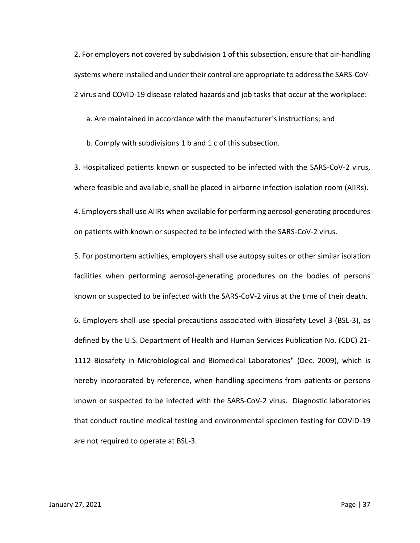2. For employers not covered by subdivision 1 of this subsection, ensure that air-handling systems where installed and under their control are appropriate to address the SARS-CoV-2 virus and COVID-19 disease related hazards and job tasks that occur at the workplace:

a. Are maintained in accordance with the manufacturer's instructions; and

b. Comply with subdivisions 1 b and 1 c of this subsection.

3. Hospitalized patients known or suspected to be infected with the SARS-CoV-2 virus, where feasible and available, shall be placed in airborne infection isolation room (AIIRs).

4. Employers shall use AIIRs when available for performing aerosol-generating procedures on patients with known or suspected to be infected with the SARS-CoV-2 virus.

5. For postmortem activities, employers shall use autopsy suites or other similar isolation facilities when performing aerosol-generating procedures on the bodies of persons known or suspected to be infected with the SARS-CoV-2 virus at the time of their death.

6. Employers shall use special precautions associated with Biosafety Level 3 (BSL-3), as defined by the U.S. Department of Health and Human Services Publication No. (CDC) 21- 1112 Biosafety in Microbiological and Biomedical Laboratories" (Dec. 2009), which is hereby incorporated by reference, when handling specimens from patients or persons known or suspected to be infected with the SARS-CoV-2 virus. Diagnostic laboratories that conduct routine medical testing and environmental specimen testing for COVID-19 are not required to operate at BSL-3.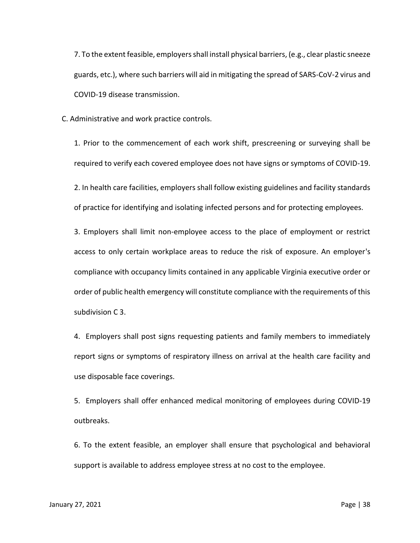7. To the extent feasible, employers shall install physical barriers, (e.g., clear plastic sneeze guards, etc.), where such barriers will aid in mitigating the spread of SARS-CoV-2 virus and COVID-19 disease transmission.

C. Administrative and work practice controls.

1. Prior to the commencement of each work shift, prescreening or surveying shall be required to verify each covered employee does not have signs or symptoms of COVID-19.

2. In health care facilities, employers shall follow existing guidelines and facility standards of practice for identifying and isolating infected persons and for protecting employees.

3. Employers shall limit non-employee access to the place of employment or restrict access to only certain workplace areas to reduce the risk of exposure. An employer's compliance with occupancy limits contained in any applicable Virginia executive order or order of public health emergency will constitute compliance with the requirements of this subdivision C 3.

4. Employers shall post signs requesting patients and family members to immediately report signs or symptoms of respiratory illness on arrival at the health care facility and use disposable face coverings.

5. Employers shall offer enhanced medical monitoring of employees during COVID-19 outbreaks.

6. To the extent feasible, an employer shall ensure that psychological and behavioral support is available to address employee stress at no cost to the employee.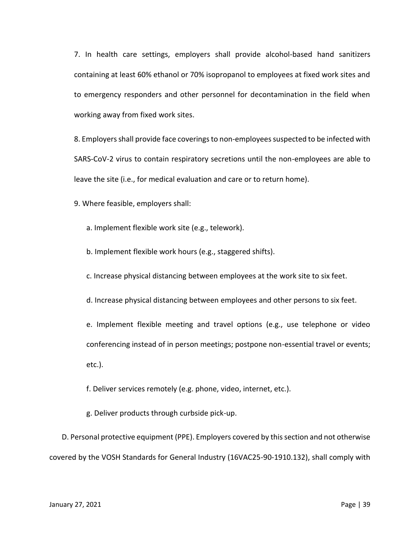7. In health care settings, employers shall provide alcohol-based hand sanitizers containing at least 60% ethanol or 70% isopropanol to employees at fixed work sites and to emergency responders and other personnel for decontamination in the field when working away from fixed work sites.

8. Employers shall provide face coverings to non-employees suspected to be infected with SARS-CoV-2 virus to contain respiratory secretions until the non-employees are able to leave the site (i.e., for medical evaluation and care or to return home).

9. Where feasible, employers shall:

a. Implement flexible work site (e.g., telework).

b. Implement flexible work hours (e.g., staggered shifts).

c. Increase physical distancing between employees at the work site to six feet.

d. Increase physical distancing between employees and other persons to six feet.

e. Implement flexible meeting and travel options (e.g., use telephone or video conferencing instead of in person meetings; postpone non-essential travel or events; etc.).

f. Deliver services remotely (e.g. phone, video, internet, etc.).

g. Deliver products through curbside pick-up.

D. Personal protective equipment (PPE). Employers covered by this section and not otherwise covered by the VOSH Standards for General Industry (16VAC25-90-1910.132), shall comply with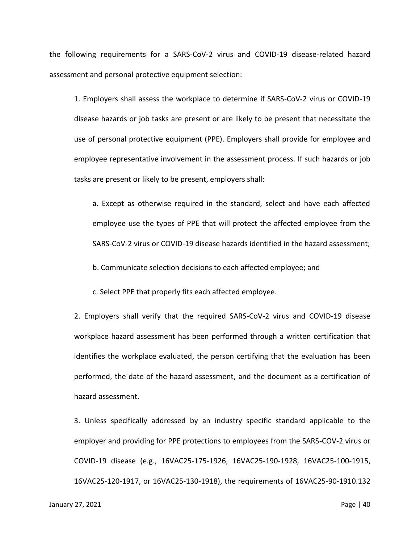the following requirements for a SARS-CoV-2 virus and COVID-19 disease-related hazard assessment and personal protective equipment selection:

1. Employers shall assess the workplace to determine if SARS-CoV-2 virus or COVID-19 disease hazards or job tasks are present or are likely to be present that necessitate the use of personal protective equipment (PPE). Employers shall provide for employee and employee representative involvement in the assessment process. If such hazards or job tasks are present or likely to be present, employers shall:

a. Except as otherwise required in the standard, select and have each affected employee use the types of PPE that will protect the affected employee from the SARS-CoV-2 virus or COVID-19 disease hazards identified in the hazard assessment;

b. Communicate selection decisions to each affected employee; and

c. Select PPE that properly fits each affected employee.

2. Employers shall verify that the required SARS-CoV-2 virus and COVID-19 disease workplace hazard assessment has been performed through a written certification that identifies the workplace evaluated, the person certifying that the evaluation has been performed, the date of the hazard assessment, and the document as a certification of hazard assessment.

3. Unless specifically addressed by an industry specific standard applicable to the employer and providing for PPE protections to employees from the SARS-COV-2 virus or COVID-19 disease (e.g., 16VAC25-175-1926, 16VAC25-190-1928, 16VAC25-100-1915, 16VAC25-120-1917, or 16VAC25-130-1918), the requirements of 16VAC25-90-1910.132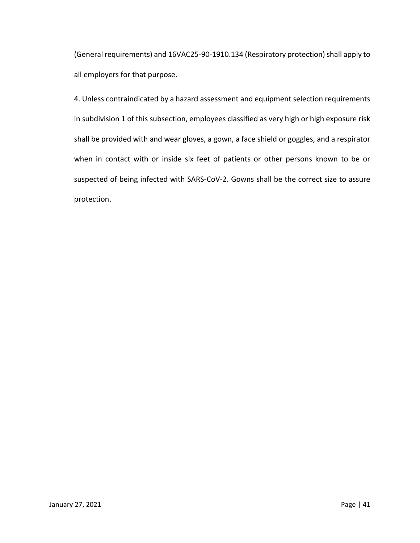(General requirements) and 16VAC25-90-1910.134 (Respiratory protection) shall apply to all employers for that purpose.

4. Unless contraindicated by a hazard assessment and equipment selection requirements in subdivision 1 of this subsection, employees classified as very high or high exposure risk shall be provided with and wear gloves, a gown, a face shield or goggles, and a respirator when in contact with or inside six feet of patients or other persons known to be or suspected of being infected with SARS-CoV-2. Gowns shall be the correct size to assure protection.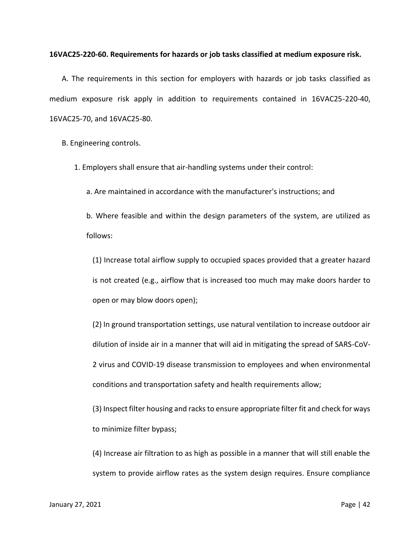## **16VAC25-220-60. Requirements for hazards or job tasks classified at medium exposure risk.**

A. The requirements in this section for employers with hazards or job tasks classified as medium exposure risk apply in addition to requirements contained in 16VAC25-220-40, 16VAC25-70, and 16VAC25-80.

B. Engineering controls.

1. Employers shall ensure that air-handling systems under their control:

a. Are maintained in accordance with the manufacturer's instructions; and

b. Where feasible and within the design parameters of the system, are utilized as follows:

(1) Increase total airflow supply to occupied spaces provided that a greater hazard is not created (e.g., airflow that is increased too much may make doors harder to open or may blow doors open);

(2) In ground transportation settings, use natural ventilation to increase outdoor air dilution of inside air in a manner that will aid in mitigating the spread of SARS-CoV-2 virus and COVID-19 disease transmission to employees and when environmental conditions and transportation safety and health requirements allow;

(3) Inspect filter housing and racks to ensure appropriate filter fit and check for ways to minimize filter bypass;

(4) Increase air filtration to as high as possible in a manner that will still enable the system to provide airflow rates as the system design requires. Ensure compliance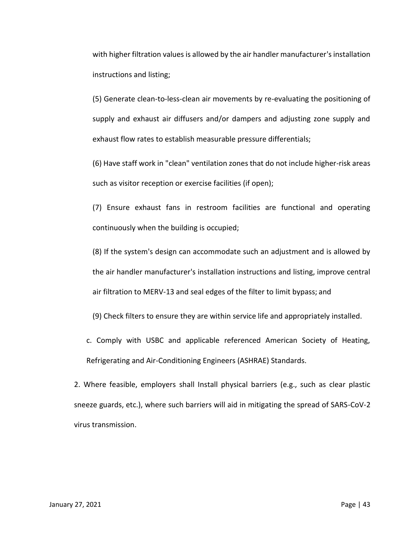with higher filtration values is allowed by the air handler manufacturer's installation instructions and listing;

(5) Generate clean-to-less-clean air movements by re-evaluating the positioning of supply and exhaust air diffusers and/or dampers and adjusting zone supply and exhaust flow rates to establish measurable pressure differentials;

(6) Have staff work in "clean" ventilation zones that do not include higher-risk areas such as visitor reception or exercise facilities (if open);

(7) Ensure exhaust fans in restroom facilities are functional and operating continuously when the building is occupied;

(8) If the system's design can accommodate such an adjustment and is allowed by the air handler manufacturer's installation instructions and listing, improve central air filtration to MERV-13 and seal edges of the filter to limit bypass; and

(9) Check filters to ensure they are within service life and appropriately installed.

c. Comply with USBC and applicable referenced American Society of Heating, Refrigerating and Air-Conditioning Engineers (ASHRAE) Standards.

2. Where feasible, employers shall Install physical barriers (e.g., such as clear plastic sneeze guards, etc.), where such barriers will aid in mitigating the spread of SARS-CoV-2 virus transmission.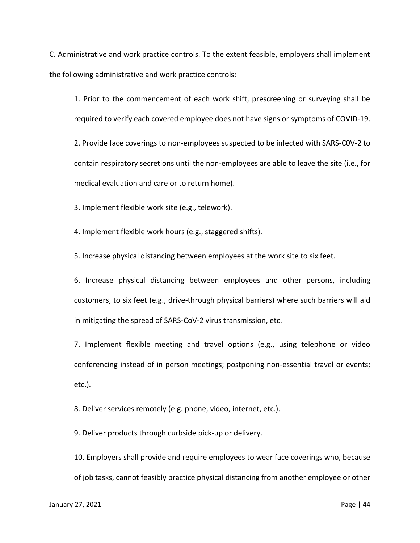C. Administrative and work practice controls. To the extent feasible, employers shall implement the following administrative and work practice controls:

1. Prior to the commencement of each work shift, prescreening or surveying shall be required to verify each covered employee does not have signs or symptoms of COVID-19.

2. Provide face coverings to non-employees suspected to be infected with SARS-C0V-2 to contain respiratory secretions until the non-employees are able to leave the site (i.e., for medical evaluation and care or to return home).

3. Implement flexible work site (e.g., telework).

4. Implement flexible work hours (e.g., staggered shifts).

5. Increase physical distancing between employees at the work site to six feet.

6. Increase physical distancing between employees and other persons, including customers, to six feet (e.g., drive-through physical barriers) where such barriers will aid in mitigating the spread of SARS-CoV-2 virus transmission, etc.

7. Implement flexible meeting and travel options (e.g., using telephone or video conferencing instead of in person meetings; postponing non-essential travel or events; etc.).

8. Deliver services remotely (e.g. phone, video, internet, etc.).

9. Deliver products through curbside pick-up or delivery.

10. Employers shall provide and require employees to wear face coverings who, because of job tasks, cannot feasibly practice physical distancing from another employee or other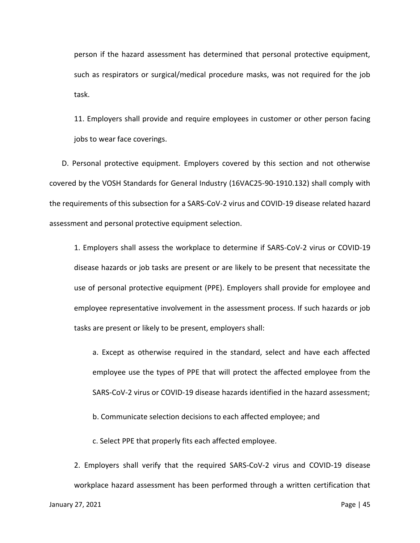person if the hazard assessment has determined that personal protective equipment, such as respirators or surgical/medical procedure masks, was not required for the job task.

11. Employers shall provide and require employees in customer or other person facing jobs to wear face coverings.

D. Personal protective equipment. Employers covered by this section and not otherwise covered by the VOSH Standards for General Industry (16VAC25-90-1910.132) shall comply with the requirements of this subsection for a SARS-CoV-2 virus and COVID-19 disease related hazard assessment and personal protective equipment selection.

1. Employers shall assess the workplace to determine if SARS-CoV-2 virus or COVID-19 disease hazards or job tasks are present or are likely to be present that necessitate the use of personal protective equipment (PPE). Employers shall provide for employee and employee representative involvement in the assessment process. If such hazards or job tasks are present or likely to be present, employers shall:

a. Except as otherwise required in the standard, select and have each affected employee use the types of PPE that will protect the affected employee from the SARS-CoV-2 virus or COVID-19 disease hazards identified in the hazard assessment;

b. Communicate selection decisions to each affected employee; and

c. Select PPE that properly fits each affected employee.

2. Employers shall verify that the required SARS-CoV-2 virus and COVID-19 disease workplace hazard assessment has been performed through a written certification that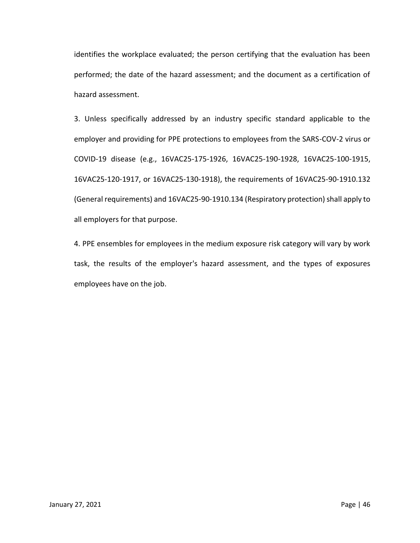identifies the workplace evaluated; the person certifying that the evaluation has been performed; the date of the hazard assessment; and the document as a certification of hazard assessment.

3. Unless specifically addressed by an industry specific standard applicable to the employer and providing for PPE protections to employees from the SARS-COV-2 virus or COVID-19 disease (e.g., 16VAC25-175-1926, 16VAC25-190-1928, 16VAC25-100-1915, 16VAC25-120-1917, or 16VAC25-130-1918), the requirements of 16VAC25-90-1910.132 (General requirements) and 16VAC25-90-1910.134 (Respiratory protection) shall apply to all employers for that purpose.

4. PPE ensembles for employees in the medium exposure risk category will vary by work task, the results of the employer's hazard assessment, and the types of exposures employees have on the job.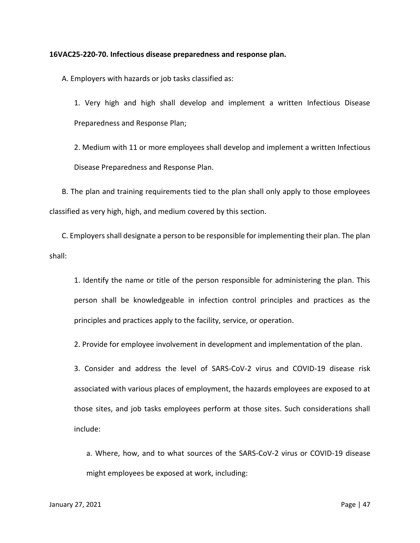#### **16VAC25-220-70. Infectious disease preparedness and response plan.**

A. Employers with hazards or job tasks classified as:

1. Very high and high shall develop and implement a written Infectious Disease Preparedness and Response Plan;

2. Medium with 11 or more employees shall develop and implement a written Infectious Disease Preparedness and Response Plan.

B. The plan and training requirements tied to the plan shall only apply to those employees classified as very high, high, and medium covered by this section.

C. Employers shall designate a person to be responsible for implementing their plan. The plan shall:

1. Identify the name or title of the person responsible for administering the plan. This person shall be knowledgeable in infection control principles and practices as the principles and practices apply to the facility, service, or operation.

2. Provide for employee involvement in development and implementation of the plan.

3. Consider and address the level of SARS-CoV-2 virus and COVID-19 disease risk associated with various places of employment, the hazards employees are exposed to at those sites, and job tasks employees perform at those sites. Such considerations shall include:

a. Where, how, and to what sources of the SARS-CoV-2 virus or COVID-19 disease might employees be exposed at work, including: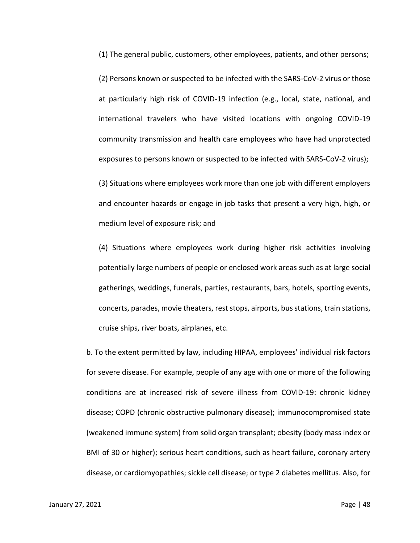(1) The general public, customers, other employees, patients, and other persons;

(2) Persons known or suspected to be infected with the SARS-CoV-2 virus or those at particularly high risk of COVID-19 infection (e.g., local, state, national, and international travelers who have visited locations with ongoing COVID-19 community transmission and health care employees who have had unprotected exposures to persons known or suspected to be infected with SARS-CoV-2 virus);

(3) Situations where employees work more than one job with different employers and encounter hazards or engage in job tasks that present a very high, high, or medium level of exposure risk; and

(4) Situations where employees work during higher risk activities involving potentially large numbers of people or enclosed work areas such as at large social gatherings, weddings, funerals, parties, restaurants, bars, hotels, sporting events, concerts, parades, movie theaters, rest stops, airports, bus stations, train stations, cruise ships, river boats, airplanes, etc.

b. To the extent permitted by law, including HIPAA, employees' individual risk factors for severe disease. For example, people of any age with one or more of the following conditions are at increased risk of severe illness from COVID-19: chronic kidney disease; COPD (chronic obstructive pulmonary disease); immunocompromised state (weakened immune system) from solid organ transplant; obesity (body mass index or BMI of 30 or higher); serious heart conditions, such as heart failure, coronary artery disease, or cardiomyopathies; sickle cell disease; or type 2 diabetes mellitus. Also, for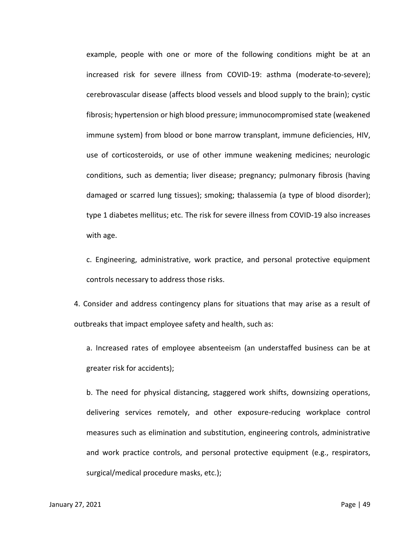example, people with one or more of the following conditions might be at an increased risk for severe illness from COVID-19: asthma (moderate-to-severe); cerebrovascular disease (affects blood vessels and blood supply to the brain); cystic fibrosis; hypertension or high blood pressure; immunocompromised state (weakened immune system) from blood or bone marrow transplant, immune deficiencies, HIV, use of corticosteroids, or use of other immune weakening medicines; neurologic conditions, such as dementia; liver disease; pregnancy; pulmonary fibrosis (having damaged or scarred lung tissues); smoking; thalassemia (a type of blood disorder); type 1 diabetes mellitus; etc. The risk for severe illness from COVID-19 also increases with age.

c. Engineering, administrative, work practice, and personal protective equipment controls necessary to address those risks.

4. Consider and address contingency plans for situations that may arise as a result of outbreaks that impact employee safety and health, such as:

a. Increased rates of employee absenteeism (an understaffed business can be at greater risk for accidents);

b. The need for physical distancing, staggered work shifts, downsizing operations, delivering services remotely, and other exposure-reducing workplace control measures such as elimination and substitution, engineering controls, administrative and work practice controls, and personal protective equipment (e.g., respirators, surgical/medical procedure masks, etc.);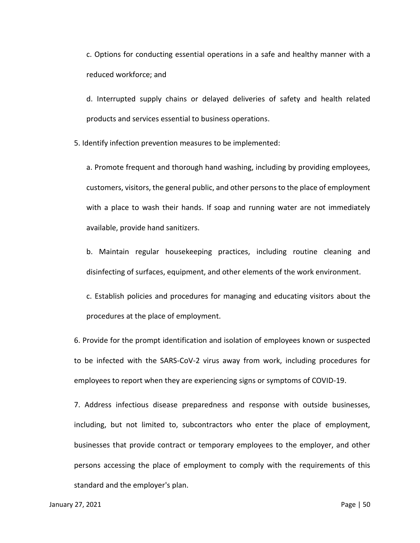c. Options for conducting essential operations in a safe and healthy manner with a reduced workforce; and

d. Interrupted supply chains or delayed deliveries of safety and health related products and services essential to business operations.

5. Identify infection prevention measures to be implemented:

a. Promote frequent and thorough hand washing, including by providing employees, customers, visitors, the general public, and other persons to the place of employment with a place to wash their hands. If soap and running water are not immediately available, provide hand sanitizers.

b. Maintain regular housekeeping practices, including routine cleaning and disinfecting of surfaces, equipment, and other elements of the work environment.

c. Establish policies and procedures for managing and educating visitors about the procedures at the place of employment.

6. Provide for the prompt identification and isolation of employees known or suspected to be infected with the SARS-CoV-2 virus away from work, including procedures for employees to report when they are experiencing signs or symptoms of COVID-19.

7. Address infectious disease preparedness and response with outside businesses, including, but not limited to, subcontractors who enter the place of employment, businesses that provide contract or temporary employees to the employer, and other persons accessing the place of employment to comply with the requirements of this standard and the employer's plan.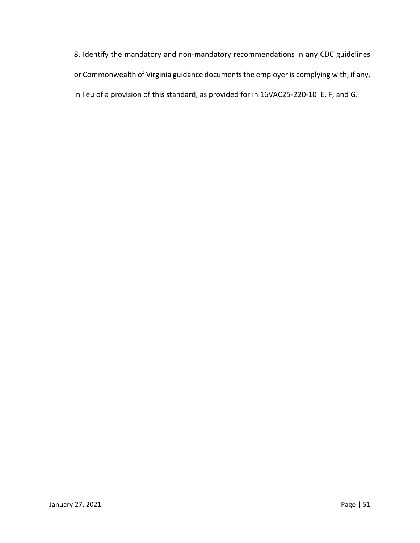8. Identify the mandatory and non-mandatory recommendations in any CDC guidelines or Commonwealth of Virginia guidance documents the employer is complying with, if any, in lieu of a provision of this standard, as provided for in 16VAC25-220-10 E, F, and G.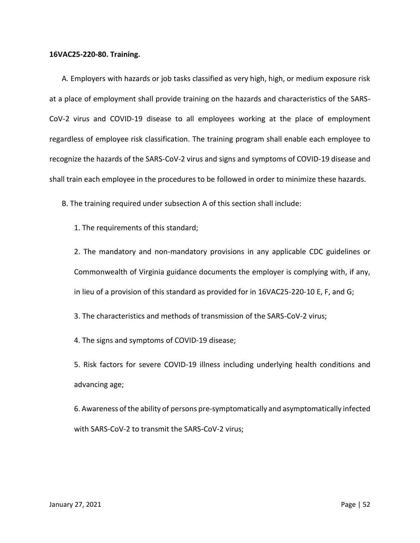## **16VAC25-220-80. Training.**

A. Employers with hazards or job tasks classified as very high, high, or medium exposure risk at a place of employment shall provide training on the hazards and characteristics of the SARS-CoV-2 virus and COVID-19 disease to all employees working at the place of employment regardless of employee risk classification. The training program shall enable each employee to recognize the hazards of the SARS-CoV-2 virus and signs and symptoms of COVID-19 disease and shall train each employee in the procedures to be followed in order to minimize these hazards.

B. The training required under subsection A of this section shall include:

1. The requirements of this standard;

2. The mandatory and non-mandatory provisions in any applicable CDC guidelines or Commonwealth of Virginia guidance documents the employer is complying with, if any, in lieu of a provision of this standard as provided for in 16VAC25-220-10 E, F, and G;

3. The characteristics and methods of transmission of the SARS-CoV-2 virus;

4. The signs and symptoms of COVID-19 disease;

5. Risk factors for severe COVID-19 illness including underlying health conditions and advancing age;

6. Awareness of the ability of persons pre-symptomatically and asymptomatically infected with SARS-CoV-2 to transmit the SARS-CoV-2 virus;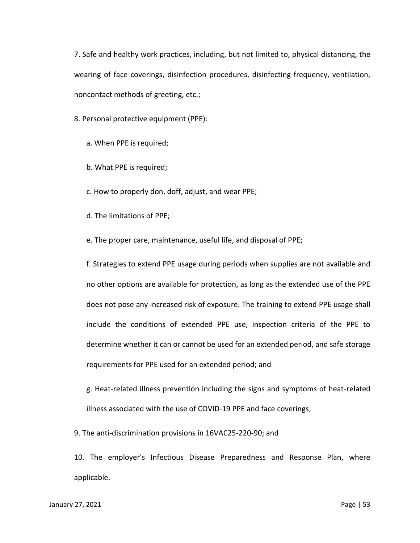7. Safe and healthy work practices, including, but not limited to, physical distancing, the wearing of face coverings, disinfection procedures, disinfecting frequency, ventilation, noncontact methods of greeting, etc.;

8. Personal protective equipment (PPE):

a. When PPE is required;

b. What PPE is required;

c. How to properly don, doff, adjust, and wear PPE;

d. The limitations of PPE;

e. The proper care, maintenance, useful life, and disposal of PPE;

f. Strategies to extend PPE usage during periods when supplies are not available and no other options are available for protection, as long as the extended use of the PPE does not pose any increased risk of exposure. The training to extend PPE usage shall include the conditions of extended PPE use, inspection criteria of the PPE to determine whether it can or cannot be used for an extended period, and safe storage requirements for PPE used for an extended period; and

g. Heat-related illness prevention including the signs and symptoms of heat-related illness associated with the use of COVID-19 PPE and face coverings;

9. The anti-discrimination provisions in 16VAC25-220-90; and

10. The employer's Infectious Disease Preparedness and Response Plan, where applicable.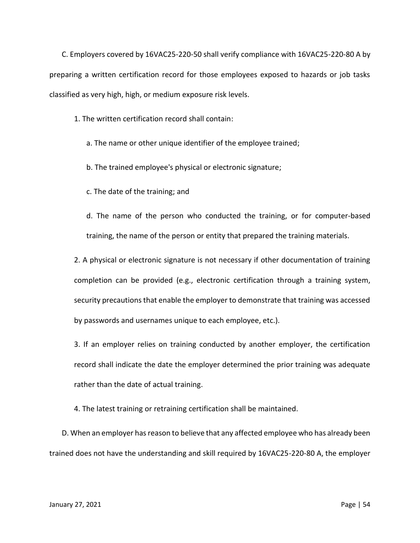C. Employers covered by 16VAC25-220-50 shall verify compliance with 16VAC25-220-80 A by preparing a written certification record for those employees exposed to hazards or job tasks classified as very high, high, or medium exposure risk levels.

1. The written certification record shall contain:

- a. The name or other unique identifier of the employee trained;
- b. The trained employee's physical or electronic signature;
- c. The date of the training; and

d. The name of the person who conducted the training, or for computer-based training, the name of the person or entity that prepared the training materials.

2. A physical or electronic signature is not necessary if other documentation of training completion can be provided (e.g., electronic certification through a training system, security precautions that enable the employer to demonstrate that training was accessed by passwords and usernames unique to each employee, etc.).

3. If an employer relies on training conducted by another employer, the certification record shall indicate the date the employer determined the prior training was adequate rather than the date of actual training.

4. The latest training or retraining certification shall be maintained.

D. When an employer has reason to believe that any affected employee who has already been trained does not have the understanding and skill required by 16VAC25-220-80 A, the employer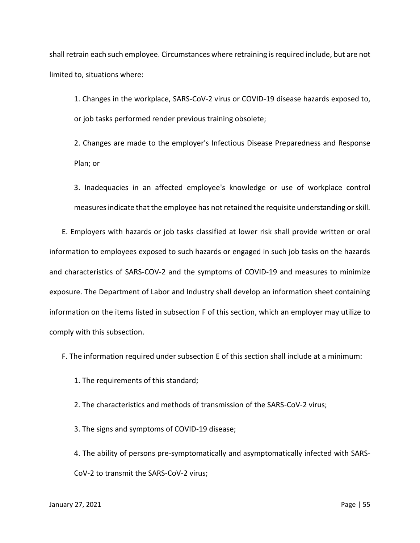shall retrain each such employee. Circumstances where retraining is required include, but are not limited to, situations where:

1. Changes in the workplace, SARS-CoV-2 virus or COVID-19 disease hazards exposed to, or job tasks performed render previous training obsolete;

2. Changes are made to the employer's Infectious Disease Preparedness and Response Plan; or

3. Inadequacies in an affected employee's knowledge or use of workplace control measures indicate that the employee has not retained the requisite understanding or skill.

E. Employers with hazards or job tasks classified at lower risk shall provide written or oral information to employees exposed to such hazards or engaged in such job tasks on the hazards and characteristics of SARS-COV-2 and the symptoms of COVID-19 and measures to minimize exposure. The Department of Labor and Industry shall develop an information sheet containing information on the items listed in subsection F of this section, which an employer may utilize to comply with this subsection.

F. The information required under subsection E of this section shall include at a minimum:

1. The requirements of this standard;

2. The characteristics and methods of transmission of the SARS-CoV-2 virus;

3. The signs and symptoms of COVID-19 disease;

4. The ability of persons pre-symptomatically and asymptomatically infected with SARS-CoV-2 to transmit the SARS-CoV-2 virus;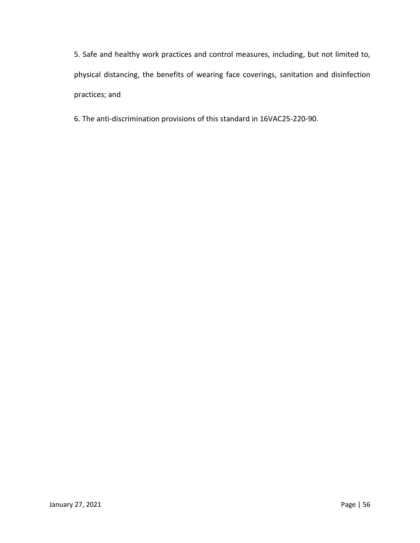5. Safe and healthy work practices and control measures, including, but not limited to, physical distancing, the benefits of wearing face coverings, sanitation and disinfection practices; and

6. The anti-discrimination provisions of this standard in 16VAC25-220-90.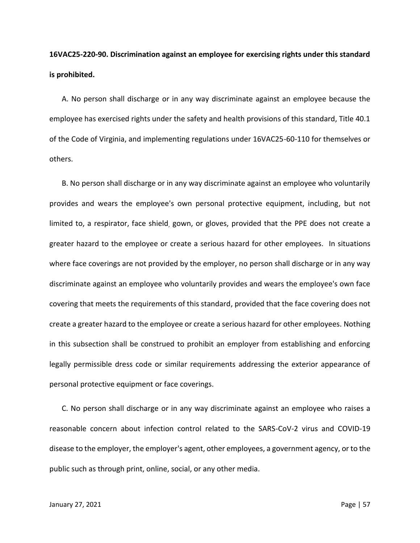**16VAC25-220-90. Discrimination against an employee for exercising rights under this standard is prohibited.**

A. No person shall discharge or in any way discriminate against an employee because the employee has exercised rights under the safety and health provisions of this standard, Title 40.1 of the Code of Virginia, and implementing regulations under 16VAC25-60-110 for themselves or others.

B. No person shall discharge or in any way discriminate against an employee who voluntarily provides and wears the employee's own personal protective equipment, including, but not limited to, a respirator, face shield, gown, or gloves, provided that the PPE does not create a greater hazard to the employee or create a serious hazard for other employees. In situations where face coverings are not provided by the employer, no person shall discharge or in any way discriminate against an employee who voluntarily provides and wears the employee's own face covering that meets the requirements of this standard, provided that the face covering does not create a greater hazard to the employee or create a serious hazard for other employees. Nothing in this subsection shall be construed to prohibit an employer from establishing and enforcing legally permissible dress code or similar requirements addressing the exterior appearance of personal protective equipment or face coverings.

C. No person shall discharge or in any way discriminate against an employee who raises a reasonable concern about infection control related to the SARS-CoV-2 virus and COVID-19 disease to the employer, the employer's agent, other employees, a government agency, or to the public such as through print, online, social, or any other media.